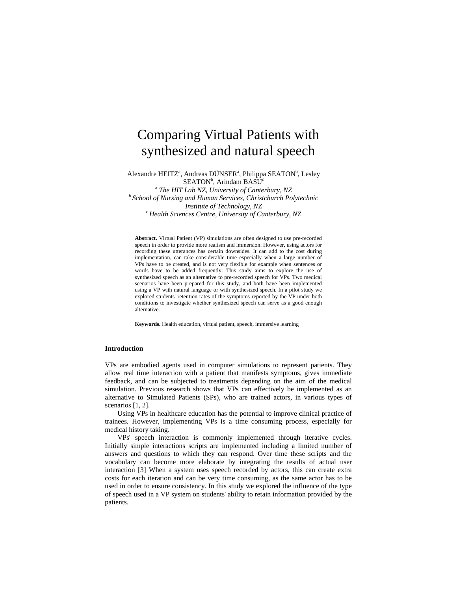# Comparing Virtual Patients with synthesized and natural speech

Alexandre HEITZ<sup>a</sup>, Andreas DÜNSER<sup>a</sup>, Philippa SEATON<sup>b</sup>, Lesley SEATON<sup>b</sup>, Arindam BASU<sup>c</sup><br><sup>a</sup> The HIT Lab NZ, University of Canter

<sup>a</sup> *The HIT Lab NZ, University of Canterbury, NZ*<br>*<sup>b</sup> School of Nursing and Human Services, Christchurch Polytechnic Institute of Technology, NZ*<br><sup>c</sup> Health Sciences Centre, University of Canterbury, NZ

**Abstract.** Virtual Patient (VP) simulations are often designed to use pre-recorded speech in order to provide more realism and immersion. However, using actors for recording these utterances has certain downsides. It can add to the cost during implementation, can take considerable time especially when a large number of VPs have to be created, and is not very flexible for example when sentences or words have to be added frequently. This study aims to explore the use of synthesized speech as an alternative to pre-recorded speech for VPs. Two medical scenarios have been prepared for this study, and both have been implemented using a VP with natural language or with synthesized speech. In a pilot study we explored students' retention rates of the symptoms reported by the VP under both conditions to investigate whether synthesized speech can serve as a good enough alternative.

**Keywords.** Health education, virtual patient, speech, immersive learning

# **Introduction**

VPs are embodied agents used in computer simulations to represent patients. They allow real time interaction with a patient that manifests symptoms, gives immediate feedback, and can be subjected to treatments depending on the aim of the medical simulation. Previous research shows that VPs can effectively be implemented as an alternative to Simulated Patients (SPs), who are trained actors, in various types of scenarios [1, 2].

Using VPs in healthcare education has the potential to improve clinical practice of trainees. However, implementing VPs is a time consuming process, especially for medical history taking.

VPs' speech interaction is commonly implemented through iterative cycles. Initially simple interactions scripts are implemented including a limited number of answers and questions to which they can respond. Over time these scripts and the vocabulary can become more elaborate by integrating the results of actual user interaction [3] When a system uses speech recorded by actors, this can create extra costs for each iteration and can be very time consuming, as the same actor has to be used in order to ensure consistency. In this study we explored the influence of the type of speech used in a VP system on students' ability to retain information provided by the patients.